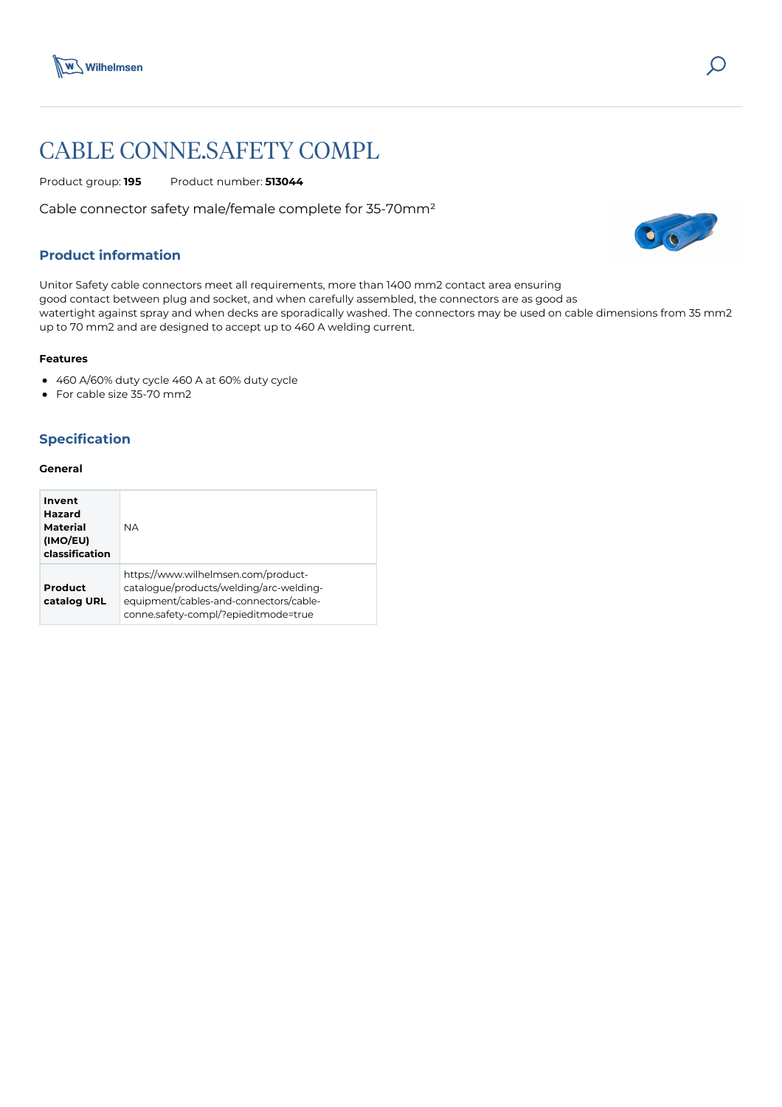



# CABLE CONNE.SAFETY COMPL

Product group: **195** Product number: **513044**

Cable connector safety male/female complete for 35-70mm²

# **Product information**

Unitor Safety cable connectors meet all requirements, more than 1400 mm2 contact area ensuring good contact between plug and socket, and when carefully assembled, the connectors are as good as watertight against spray and when decks are sporadically washed. The connectors may be used on cable dimensions from 35 mm2 up to 70 mm2 and are designed to accept up to 460 A welding current.

#### **Features**

- 460 A/60% duty cycle 460 A at 60% duty cycle
- For cable size 35-70 mm2

# **Specification**

## **General**

| Invent<br>Hazard<br><b>Material</b><br>(IMO/EU)<br>classification | <b>NA</b>                                                                                                                                                        |
|-------------------------------------------------------------------|------------------------------------------------------------------------------------------------------------------------------------------------------------------|
| Product<br>catalog URL                                            | https://www.wilhelmsen.com/product-<br>catalogue/products/welding/arc-welding-<br>equipment/cables-and-connectors/cable-<br>conne.safety-compl/?epieditmode=true |